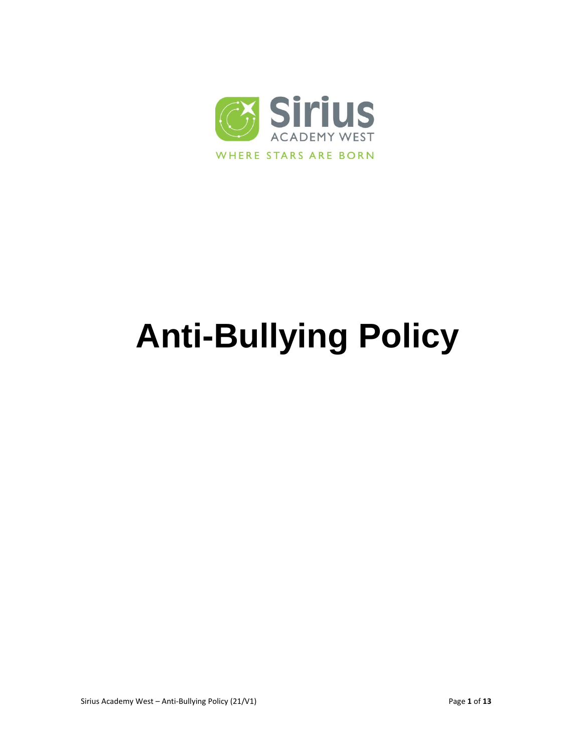

# **Anti-Bullying Policy**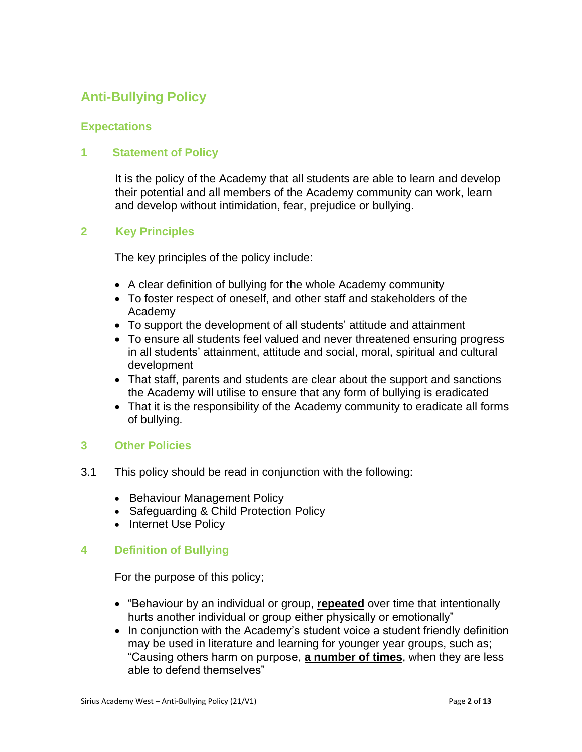## **Anti-Bullying Policy**

#### **Expectations**

#### **1 Statement of Policy**

It is the policy of the Academy that all students are able to learn and develop their potential and all members of the Academy community can work, learn and develop without intimidation, fear, prejudice or bullying.

#### **2 Key Principles**

The key principles of the policy include:

- A clear definition of bullying for the whole Academy community
- To foster respect of oneself, and other staff and stakeholders of the Academy
- To support the development of all students' attitude and attainment
- To ensure all students feel valued and never threatened ensuring progress in all students' attainment, attitude and social, moral, spiritual and cultural development
- That staff, parents and students are clear about the support and sanctions the Academy will utilise to ensure that any form of bullying is eradicated
- That it is the responsibility of the Academy community to eradicate all forms of bullying.

#### **3 Other Policies**

- 3.1 This policy should be read in conjunction with the following:
	- Behaviour Management Policy
	- Safeguarding & Child Protection Policy
	- Internet Use Policy

#### **4 Definition of Bullying**

For the purpose of this policy;

- "Behaviour by an individual or group, **repeated** over time that intentionally hurts another individual or group either physically or emotionally"
- In conjunction with the Academy's student voice a student friendly definition may be used in literature and learning for younger year groups, such as; "Causing others harm on purpose, **a number of times**, when they are less able to defend themselves"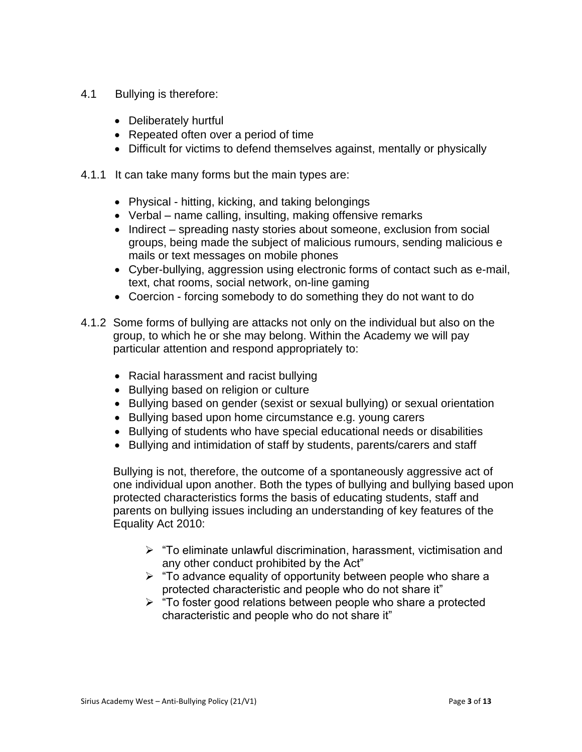- 4.1 Bullying is therefore:
	- Deliberately hurtful
	- Repeated often over a period of time
	- Difficult for victims to defend themselves against, mentally or physically
- 4.1.1 It can take many forms but the main types are:
	- Physical hitting, kicking, and taking belongings
	- Verbal name calling, insulting, making offensive remarks
	- Indirect spreading nasty stories about someone, exclusion from social groups, being made the subject of malicious rumours, sending malicious e mails or text messages on mobile phones
	- Cyber-bullying, aggression using electronic forms of contact such as e-mail, text, chat rooms, social network, on-line gaming
	- Coercion forcing somebody to do something they do not want to do
- 4.1.2 Some forms of bullying are attacks not only on the individual but also on the group, to which he or she may belong. Within the Academy we will pay particular attention and respond appropriately to:
	- Racial harassment and racist bullying
	- Bullying based on religion or culture
	- Bullying based on gender (sexist or sexual bullying) or sexual orientation
	- Bullying based upon home circumstance e.g. young carers
	- Bullying of students who have special educational needs or disabilities
	- Bullying and intimidation of staff by students, parents/carers and staff

Bullying is not, therefore, the outcome of a spontaneously aggressive act of one individual upon another. Both the types of bullying and bullying based upon protected characteristics forms the basis of educating students, staff and parents on bullying issues including an understanding of key features of the Equality Act 2010:

- $\triangleright$  "To eliminate unlawful discrimination, harassment, victimisation and any other conduct prohibited by the Act"
- $\triangleright$  "To advance equality of opportunity between people who share a protected characteristic and people who do not share it"
- $\triangleright$  "To foster good relations between people who share a protected characteristic and people who do not share it"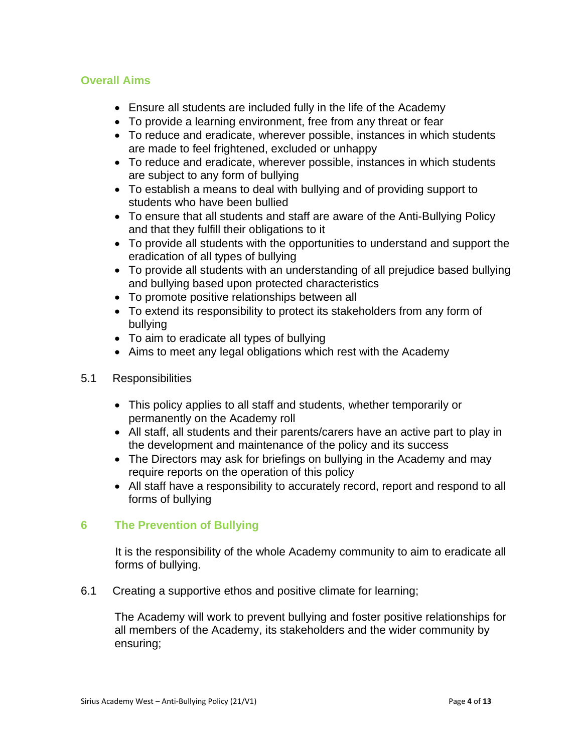#### **Overall Aims**

- Ensure all students are included fully in the life of the Academy
- To provide a learning environment, free from any threat or fear
- To reduce and eradicate, wherever possible, instances in which students are made to feel frightened, excluded or unhappy
- To reduce and eradicate, wherever possible, instances in which students are subject to any form of bullying
- To establish a means to deal with bullying and of providing support to students who have been bullied
- To ensure that all students and staff are aware of the Anti-Bullying Policy and that they fulfill their obligations to it
- To provide all students with the opportunities to understand and support the eradication of all types of bullying
- To provide all students with an understanding of all prejudice based bullying and bullying based upon protected characteristics
- To promote positive relationships between all
- To extend its responsibility to protect its stakeholders from any form of bullying
- To aim to eradicate all types of bullying
- Aims to meet any legal obligations which rest with the Academy
- 5.1 Responsibilities
	- This policy applies to all staff and students, whether temporarily or permanently on the Academy roll
	- All staff, all students and their parents/carers have an active part to play in the development and maintenance of the policy and its success
	- The Directors may ask for briefings on bullying in the Academy and may require reports on the operation of this policy
	- All staff have a responsibility to accurately record, report and respond to all forms of bullying

#### **6 The Prevention of Bullying**

It is the responsibility of the whole Academy community to aim to eradicate all forms of bullying.

6.1 Creating a supportive ethos and positive climate for learning;

The Academy will work to prevent bullying and foster positive relationships for all members of the Academy, its stakeholders and the wider community by ensuring;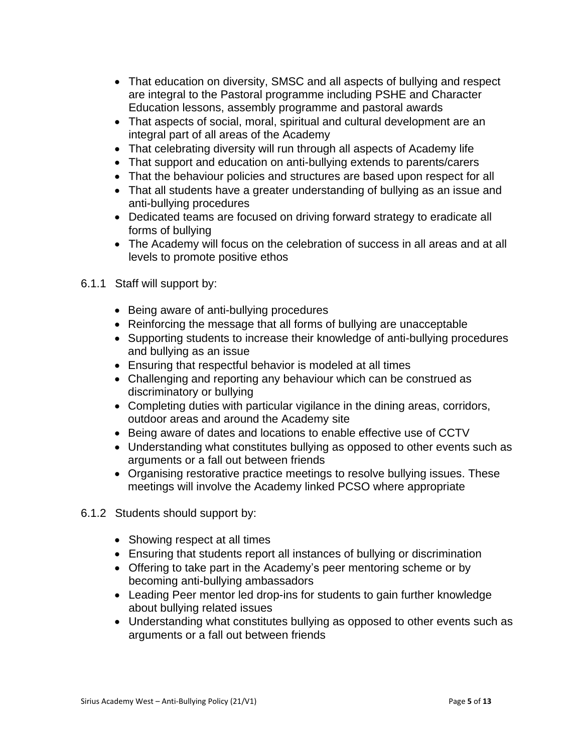- That education on diversity, SMSC and all aspects of bullying and respect are integral to the Pastoral programme including PSHE and Character Education lessons, assembly programme and pastoral awards
- That aspects of social, moral, spiritual and cultural development are an integral part of all areas of the Academy
- That celebrating diversity will run through all aspects of Academy life
- That support and education on anti-bullying extends to parents/carers
- That the behaviour policies and structures are based upon respect for all
- That all students have a greater understanding of bullying as an issue and anti-bullying procedures
- Dedicated teams are focused on driving forward strategy to eradicate all forms of bullying
- The Academy will focus on the celebration of success in all areas and at all levels to promote positive ethos
- 6.1.1 Staff will support by:
	- Being aware of anti-bullying procedures
	- Reinforcing the message that all forms of bullying are unacceptable
	- Supporting students to increase their knowledge of anti-bullying procedures and bullying as an issue
	- Ensuring that respectful behavior is modeled at all times
	- Challenging and reporting any behaviour which can be construed as discriminatory or bullying
	- Completing duties with particular vigilance in the dining areas, corridors, outdoor areas and around the Academy site
	- Being aware of dates and locations to enable effective use of CCTV
	- Understanding what constitutes bullying as opposed to other events such as arguments or a fall out between friends
	- Organising restorative practice meetings to resolve bullying issues. These meetings will involve the Academy linked PCSO where appropriate
- 6.1.2 Students should support by:
	- Showing respect at all times
	- Ensuring that students report all instances of bullying or discrimination
	- Offering to take part in the Academy's peer mentoring scheme or by becoming anti-bullying ambassadors
	- Leading Peer mentor led drop-ins for students to gain further knowledge about bullying related issues
	- Understanding what constitutes bullying as opposed to other events such as arguments or a fall out between friends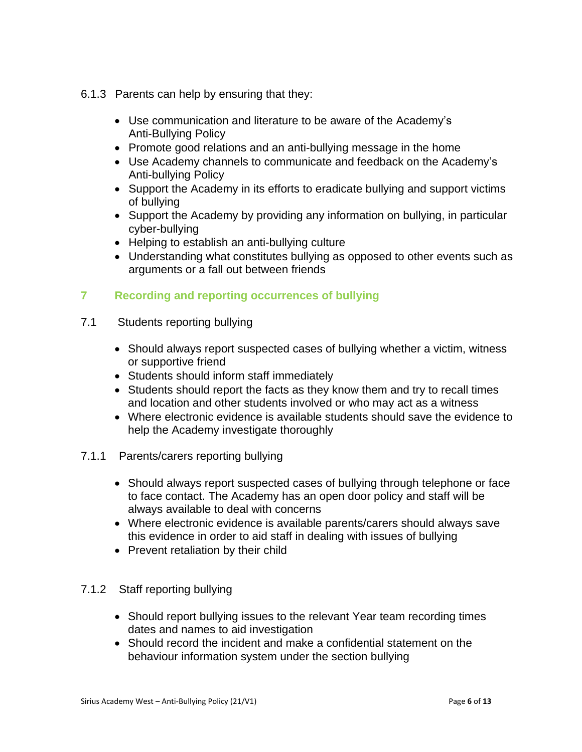- 6.1.3 Parents can help by ensuring that they:
	- Use communication and literature to be aware of the Academy's Anti-Bullying Policy
	- Promote good relations and an anti-bullying message in the home
	- Use Academy channels to communicate and feedback on the Academy's Anti-bullying Policy
	- Support the Academy in its efforts to eradicate bullying and support victims of bullying
	- Support the Academy by providing any information on bullying, in particular cyber-bullying
	- Helping to establish an anti-bullying culture
	- Understanding what constitutes bullying as opposed to other events such as arguments or a fall out between friends

#### **7 Recording and reporting occurrences of bullying**

- 7.1 Students reporting bullying
	- Should always report suspected cases of bullying whether a victim, witness or supportive friend
	- Students should inform staff immediately
	- Students should report the facts as they know them and try to recall times and location and other students involved or who may act as a witness
	- Where electronic evidence is available students should save the evidence to help the Academy investigate thoroughly
- 7.1.1 Parents/carers reporting bullying
	- Should always report suspected cases of bullying through telephone or face to face contact. The Academy has an open door policy and staff will be always available to deal with concerns
	- Where electronic evidence is available parents/carers should always save this evidence in order to aid staff in dealing with issues of bullying
	- Prevent retaliation by their child

#### 7.1.2 Staff reporting bullying

- Should report bullying issues to the relevant Year team recording times dates and names to aid investigation
- Should record the incident and make a confidential statement on the behaviour information system under the section bullying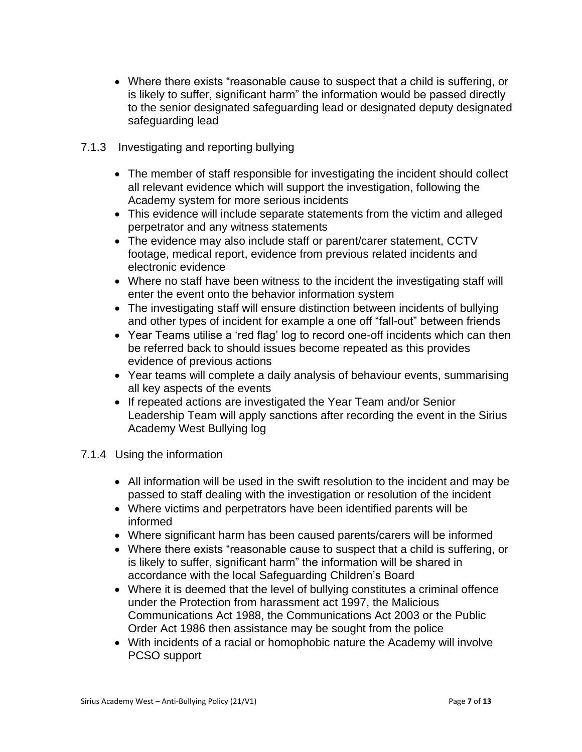- Where there exists "reasonable cause to suspect that a child is suffering, or is likely to suffer, significant harm" the information would be passed directly to the senior designated safeguarding lead or designated deputy designated safeguarding lead
- 7.1.3 Investigating and reporting bullying
	- The member of staff responsible for investigating the incident should collect all relevant evidence which will support the investigation, following the Academy system for more serious incidents
	- This evidence will include separate statements from the victim and alleged perpetrator and any witness statements
	- The evidence may also include staff or parent/carer statement, CCTV footage, medical report, evidence from previous related incidents and electronic evidence
	- Where no staff have been witness to the incident the investigating staff will enter the event onto the behavior information system
	- The investigating staff will ensure distinction between incidents of bullying and other types of incident for example a one off "fall-out" between friends
	- Year Teams utilise a 'red flag' log to record one-off incidents which can then be referred back to should issues become repeated as this provides evidence of previous actions
	- Year teams will complete a daily analysis of behaviour events, summarising all key aspects of the events
	- If repeated actions are investigated the Year Team and/or Senior Leadership Team will apply sanctions after recording the event in the Sirius Academy West Bullying log
- 7.1.4 Using the information
	- All information will be used in the swift resolution to the incident and may be passed to staff dealing with the investigation or resolution of the incident
	- Where victims and perpetrators have been identified parents will be informed
	- Where significant harm has been caused parents/carers will be informed
	- Where there exists "reasonable cause to suspect that a child is suffering, or is likely to suffer, significant harm" the information will be shared in accordance with the local Safeguarding Children's Board
	- Where it is deemed that the level of bullying constitutes a criminal offence under the Protection from harassment act 1997, the Malicious Communications Act 1988, the Communications Act 2003 or the Public Order Act 1986 then assistance may be sought from the police
	- With incidents of a racial or homophobic nature the Academy will involve PCSO support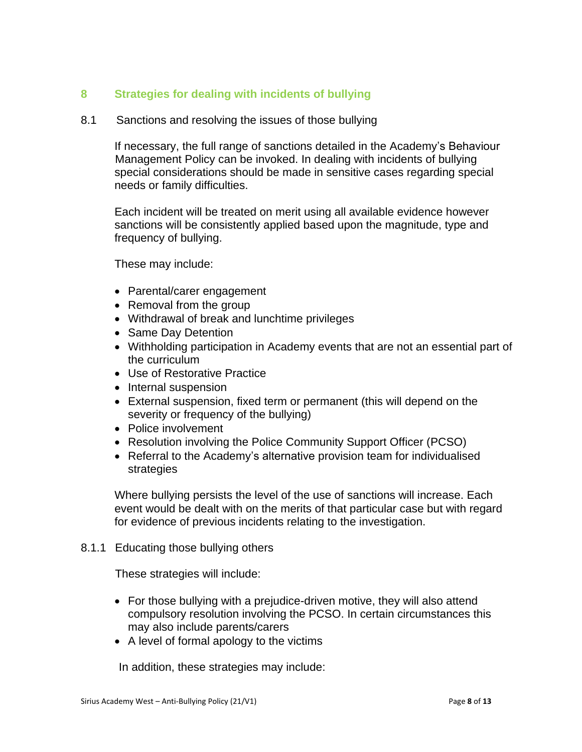#### **8 Strategies for dealing with incidents of bullying**

#### 8.1 Sanctions and resolving the issues of those bullying

If necessary, the full range of sanctions detailed in the Academy's Behaviour Management Policy can be invoked. In dealing with incidents of bullying special considerations should be made in sensitive cases regarding special needs or family difficulties.

Each incident will be treated on merit using all available evidence however sanctions will be consistently applied based upon the magnitude, type and frequency of bullying.

These may include:

- Parental/carer engagement
- Removal from the group
- Withdrawal of break and lunchtime privileges
- Same Day Detention
- Withholding participation in Academy events that are not an essential part of the curriculum
- Use of Restorative Practice
- Internal suspension
- External suspension, fixed term or permanent (this will depend on the severity or frequency of the bullying)
- Police involvement
- Resolution involving the Police Community Support Officer (PCSO)
- Referral to the Academy's alternative provision team for individualised strategies

Where bullying persists the level of the use of sanctions will increase. Each event would be dealt with on the merits of that particular case but with regard for evidence of previous incidents relating to the investigation.

#### 8.1.1 Educating those bullying others

These strategies will include:

- For those bullying with a prejudice-driven motive, they will also attend compulsory resolution involving the PCSO. In certain circumstances this may also include parents/carers
- A level of formal apology to the victims

In addition, these strategies may include: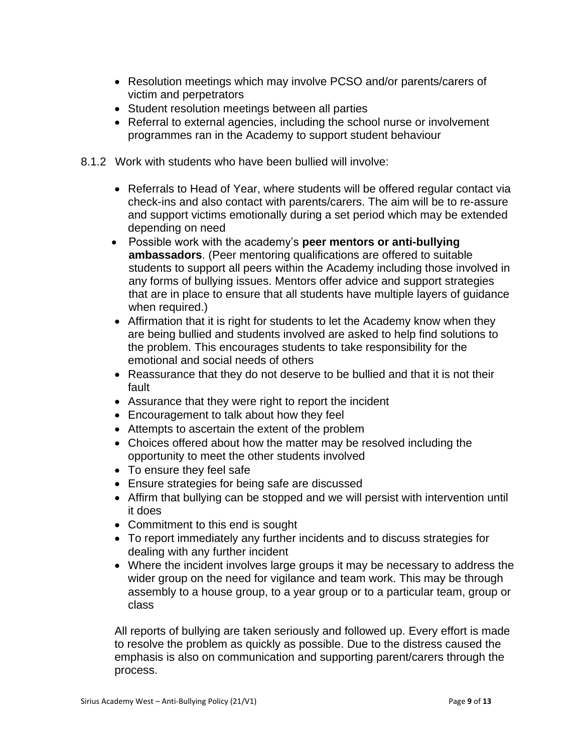- Resolution meetings which may involve PCSO and/or parents/carers of victim and perpetrators
- Student resolution meetings between all parties
- Referral to external agencies, including the school nurse or involvement programmes ran in the Academy to support student behaviour
- 8.1.2 Work with students who have been bullied will involve:
	- Referrals to Head of Year, where students will be offered regular contact via check-ins and also contact with parents/carers. The aim will be to re-assure and support victims emotionally during a set period which may be extended depending on need
	- Possible work with the academy's **peer mentors or anti-bullying ambassadors**. (Peer mentoring qualifications are offered to suitable students to support all peers within the Academy including those involved in any forms of bullying issues. Mentors offer advice and support strategies that are in place to ensure that all students have multiple layers of guidance when required.)
	- Affirmation that it is right for students to let the Academy know when they are being bullied and students involved are asked to help find solutions to the problem. This encourages students to take responsibility for the emotional and social needs of others
	- Reassurance that they do not deserve to be bullied and that it is not their fault
	- Assurance that they were right to report the incident
	- Encouragement to talk about how they feel
	- Attempts to ascertain the extent of the problem
	- Choices offered about how the matter may be resolved including the opportunity to meet the other students involved
	- To ensure they feel safe
	- Ensure strategies for being safe are discussed
	- Affirm that bullying can be stopped and we will persist with intervention until it does
	- Commitment to this end is sought
	- To report immediately any further incidents and to discuss strategies for dealing with any further incident
	- Where the incident involves large groups it may be necessary to address the wider group on the need for vigilance and team work. This may be through assembly to a house group, to a year group or to a particular team, group or class

All reports of bullying are taken seriously and followed up. Every effort is made to resolve the problem as quickly as possible. Due to the distress caused the emphasis is also on communication and supporting parent/carers through the process.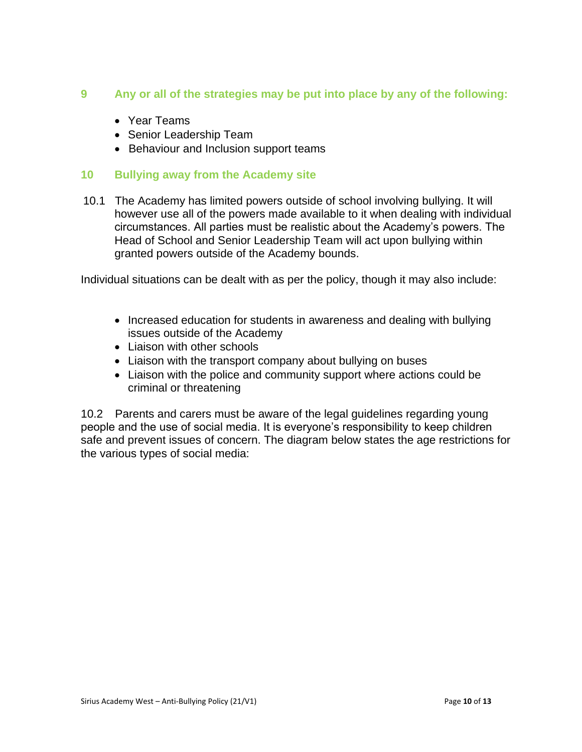#### **9 Any or all of the strategies may be put into place by any of the following:**

- Year Teams
- Senior Leadership Team
- Behaviour and Inclusion support teams

#### **10 Bullying away from the Academy site**

10.1 The Academy has limited powers outside of school involving bullying. It will however use all of the powers made available to it when dealing with individual circumstances. All parties must be realistic about the Academy's powers. The Head of School and Senior Leadership Team will act upon bullying within granted powers outside of the Academy bounds.

Individual situations can be dealt with as per the policy, though it may also include:

- Increased education for students in awareness and dealing with bullying issues outside of the Academy
- Liaison with other schools
- Liaison with the transport company about bullying on buses
- Liaison with the police and community support where actions could be criminal or threatening

10.2 Parents and carers must be aware of the legal guidelines regarding young people and the use of social media. It is everyone's responsibility to keep children safe and prevent issues of concern. The diagram below states the age restrictions for the various types of social media: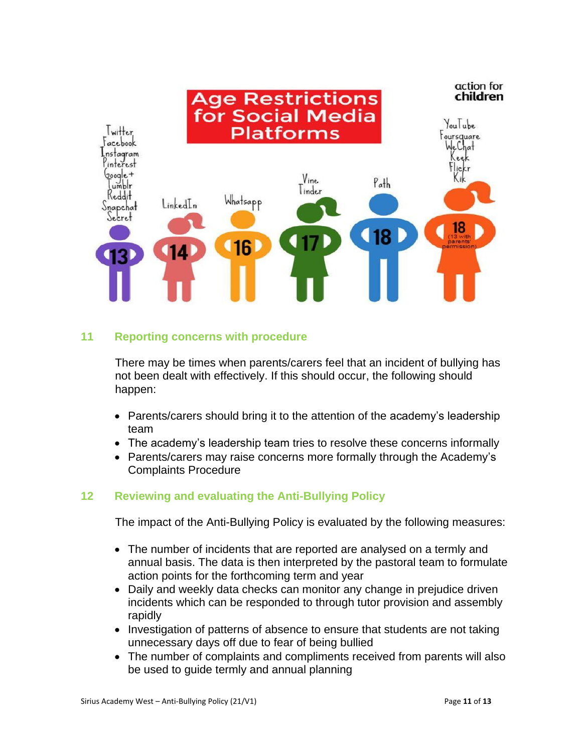

#### **11 Reporting concerns with procedure**

There may be times when parents/carers feel that an incident of bullying has not been dealt with effectively. If this should occur, the following should happen:

- Parents/carers should bring it to the attention of the academy's leadership team
- The academy's leadership team tries to resolve these concerns informally
- Parents/carers may raise concerns more formally through the Academy's Complaints Procedure

#### **12 Reviewing and evaluating the Anti-Bullying Policy**

The impact of the Anti-Bullying Policy is evaluated by the following measures:

- The number of incidents that are reported are analysed on a termly and annual basis. The data is then interpreted by the pastoral team to formulate action points for the forthcoming term and year
- Daily and weekly data checks can monitor any change in prejudice driven incidents which can be responded to through tutor provision and assembly rapidly
- Investigation of patterns of absence to ensure that students are not taking unnecessary days off due to fear of being bullied
- The number of complaints and compliments received from parents will also be used to guide termly and annual planning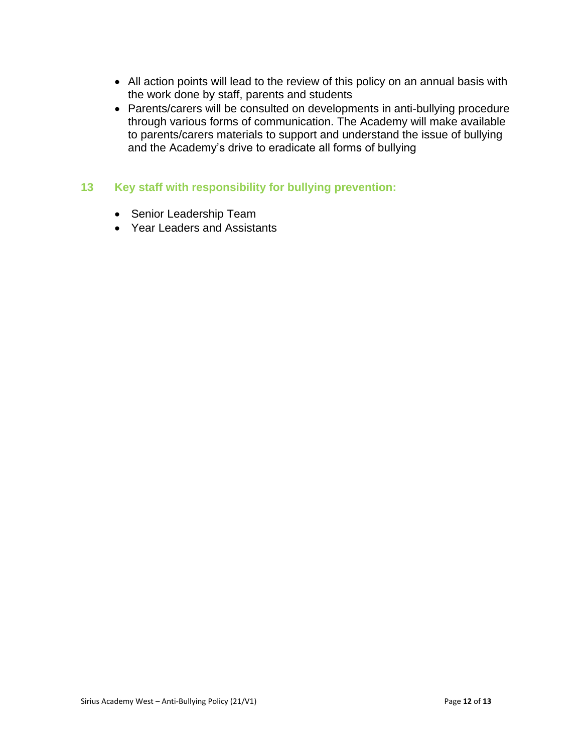- All action points will lead to the review of this policy on an annual basis with the work done by staff, parents and students
- Parents/carers will be consulted on developments in anti-bullying procedure through various forms of communication. The Academy will make available to parents/carers materials to support and understand the issue of bullying and the Academy's drive to eradicate all forms of bullying

#### **13 Key staff with responsibility for bullying prevention:**

- Senior Leadership Team
- Year Leaders and Assistants